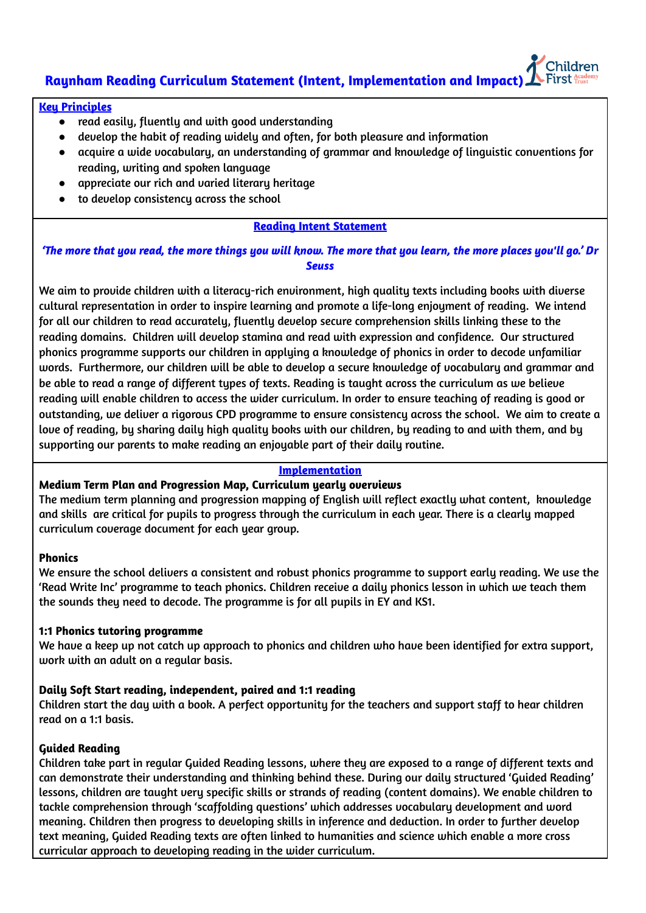# **Raynham Reading Curriculum Statement (Intent, Implementation and Impact)**

## **Key Principles**

- read easily, fluently and with good understanding
- develop the habit of reading widely and often, for both pleasure and information
- acquire a wide vocabulary, an understanding of grammar and knowledge of linguistic conventions for reading, writing and spoken language
- appreciate our rich and varied literary heritage
- to develop consistency across the school

# **Reading Intent Statement**

'The more that you read, the more things you will know. The more that you learn, the more places you'll go.' Dr *Seuss*

We aim to provide children with a literacy-rich environment, high quality texts including books with diverse cultural representation in order to inspire learning and promote a life-long enjoyment of reading. We intend for all our children to read accurately, fluently develop secure comprehension skills linking these to the reading domains. Children will develop stamina and read with expression and confidence. Our structured phonics programme supports our children in applying a knowledge of phonics in order to decode unfamiliar words. Furthermore, our children will be able to develop a secure knowledge of vocabulary and grammar and be able to read a range of different types of texts. Reading is taught across the curriculum as we believe reading will enable children to access the wider curriculum. In order to ensure teaching of reading is good or outstanding, we deliver a rigorous CPD programme to ensure consistency across the school. We aim to create a love of reading, by sharing daily high quality books with our children, by reading to and with them, and by supporting our parents to make reading an enjoyable part of their daily routine.

## **Implementation**

# **Medium Term Plan and Progression Map, Curriculum yearly overviews**

The medium term planning and progression mapping of English will reflect exactly what content, knowledge and skills are critical for pupils to progress through the curriculum in each year. There is a clearly mapped curriculum coverage document for each year group.

#### **Phonics**

We ensure the school delivers a consistent and robust phonics programme to support early reading. We use the 'Read Write Inc' programme to teach phonics. Children receive a daily phonics lesson in which we teach them the sounds they need to decode. The programme is for all pupils in EY and KS1.

#### **1:1 Phonics tutoring programme**

We have a keep up not catch up approach to phonics and children who have been identified for extra support, work with an adult on a regular basis.

# **Daily Soft Start reading, independent, paired and 1:1 reading**

Children start the day with a book. A perfect opportunity for the teachers and support staff to hear children read on a 1:1 basis.

# **Guided Reading**

Children take part in regular Guided Reading lessons, where they are exposed to a range of different texts and can demonstrate their understanding and thinking behind these. During our daily structured 'Guided Reading' lessons, children are taught very specific skills or strands of reading (content domains). We enable children to tackle comprehension through 'scaffolding questions' which addresses vocabulary development and word meaning. Children then progress to developing skills in inference and deduction. In order to further develop text meaning, Guided Reading texts are often linked to humanities and science which enable a more cross curricular approach to developing reading in the wider curriculum.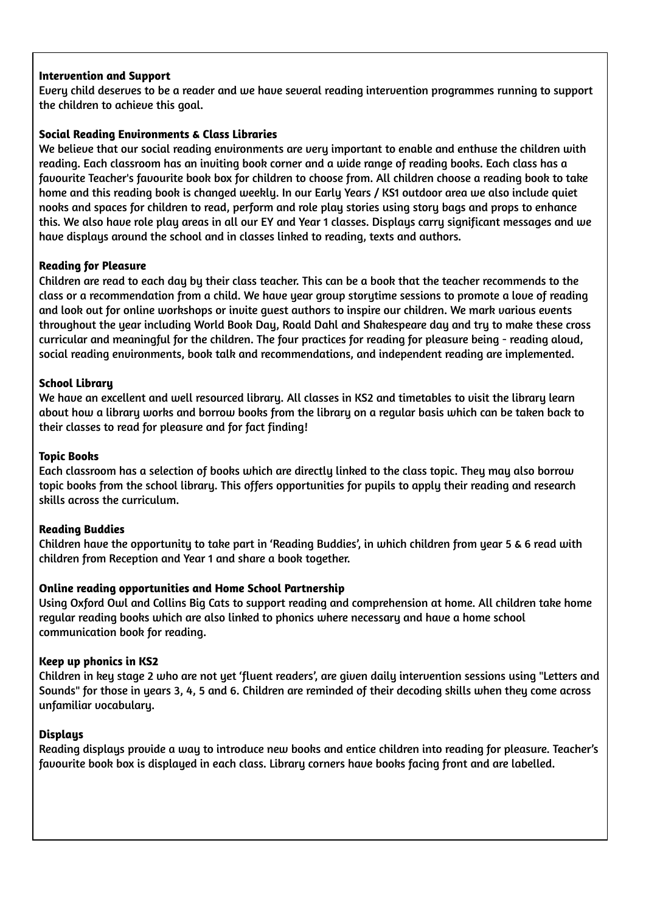# **Intervention and Support**

Every child deserves to be a reader and we have several reading intervention programmes running to support the children to achieve this goal.

# **Social Reading Environments & Class Libraries**

We believe that our social reading environments are very important to enable and enthuse the children with reading. Each classroom has an inviting book corner and a wide range of reading books. Each class has a favourite Teacher's favourite book box for children to choose from. All children choose a reading book to take home and this reading book is changed weekly. In our Early Years / KS1 outdoor area we also include quiet nooks and spaces for children to read, perform and role play stories using story bags and props to enhance this. We also have role play areas in all our EY and Year 1 classes. Displays carry sianificant messages and we have displays around the school and in classes linked to reading, texts and authors.

# **Reading for Pleasure**

Children are read to each day by their class teacher. This can be a book that the teacher recommends to the class or a recommendation from a child. We have year group storytime sessions to promote a love of reading and look out for online workshops or invite guest authors to inspire our children. We mark various events throughout the year including World Book Day, Roald Dahl and Shakespeare day and try to make these cross curricular and meaningful for the children. The four practices for reading for pleasure being - reading aloud, social reading environments, book talk and recommendations, and independent reading are implemented.

# **School Library**

We have an excellent and well resourced library. All classes in KS2 and timetables to visit the library learn about how a library works and borrow books from the library on a regular basis which can be taken back to their classes to read for pleasure and for fact finding!

# **Topic Books**

Each classroom has a selection of books which are directly linked to the class topic. They may also borrow topic books from the school library. This offers opportunities for pupils to apply their reading and research skills across the curriculum.

# **Reading Buddies**

Children have the opportunity to take part in 'Reading Buddies', in which children from year 5 & 6 read with children from Reception and Year 1 and share a book together.

# **Online reading opportunities and Home School Partnership**

Using Oxford Owl and Collins Big Cats to support reading and comprehension at home. All children take home regular reading books which are also linked to phonics where necessary and have a home school communication book for reading.

# **Keep up phonics in KS2**

Children in key stage 2 who are not yet 'fluent readers', are given daily intervention sessions using "Letters and Sounds" for those in years 3, 4, 5 and 6. Children are reminded of their decoding skills when they come across unfamiliar vocabulary.

# **Displays**

Reading displays provide a way to introduce new books and entice children into reading for pleasure. Teacher's favourite book box is displayed in each class. Library corners have books facing front and are labelled.